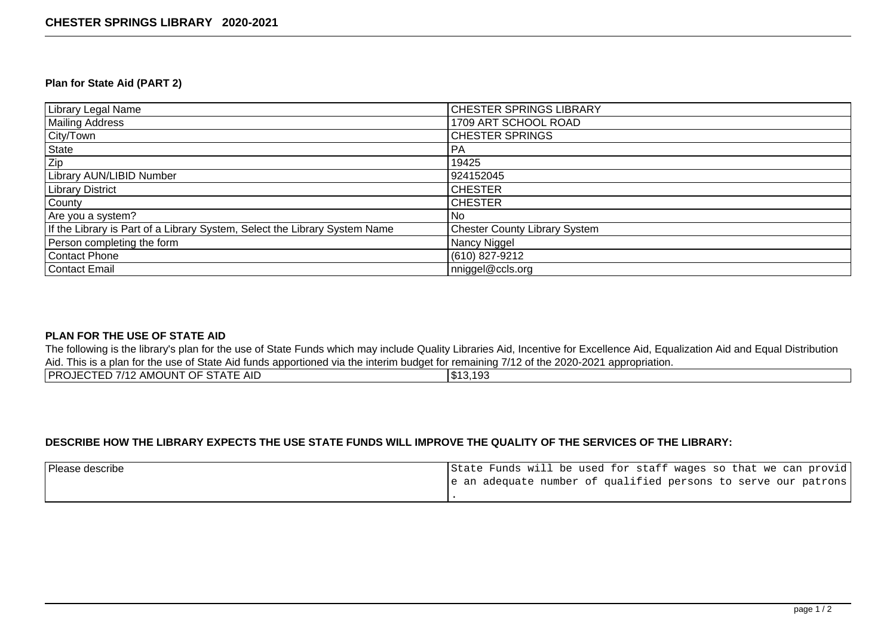#### **Plan for State Aid (PART 2)**

| Library Legal Name                                                         | <b>CHESTER SPRINGS LIBRARY</b>       |
|----------------------------------------------------------------------------|--------------------------------------|
| Mailing Address                                                            | 1709 ART SCHOOL ROAD                 |
| City/Town                                                                  | <b>CHESTER SPRINGS</b>               |
| State                                                                      | PA                                   |
| Zip                                                                        | 19425                                |
| <b>Library AUN/LIBID Number</b>                                            | 924152045                            |
| <b>Library District</b>                                                    | <b>CHESTER</b>                       |
| County                                                                     | <b>CHESTER</b>                       |
| Are you a system?                                                          | No                                   |
| If the Library is Part of a Library System, Select the Library System Name | <b>Chester County Library System</b> |
| Person completing the form                                                 | Nancy Niggel                         |
| Contact Phone                                                              | (610) 827-9212                       |
| Contact Email                                                              | nniggel@ccls.org                     |

#### **PLAN FOR THE USE OF STATE AID**

The following is the library's plan for the use of State Funds which may include Quality Libraries Aid, Incentive for Excellence Aid, Equalization Aid and Equal Distribution Aid. This is a plan for the use of State Aid funds apportioned via the interim budget for remaining 7/12 of the 2020-2021 appropriation.

| AMOUNT OF STATE AID<br>IPROJ<br>7 I A<br>.<br>ww | \$13,193<br>1020 |
|--------------------------------------------------|------------------|
|                                                  |                  |

## **DESCRIBE HOW THE LIBRARY EXPECTS THE USE STATE FUNDS WILL IMPROVE THE QUALITY OF THE SERVICES OF THE LIBRARY:**

| Please describe |  |  |  |  |  |  | State Funds will be used for staff wages so that we can provid |
|-----------------|--|--|--|--|--|--|----------------------------------------------------------------|
|                 |  |  |  |  |  |  | e an adequate number of qualified persons to serve our patrons |
|                 |  |  |  |  |  |  |                                                                |